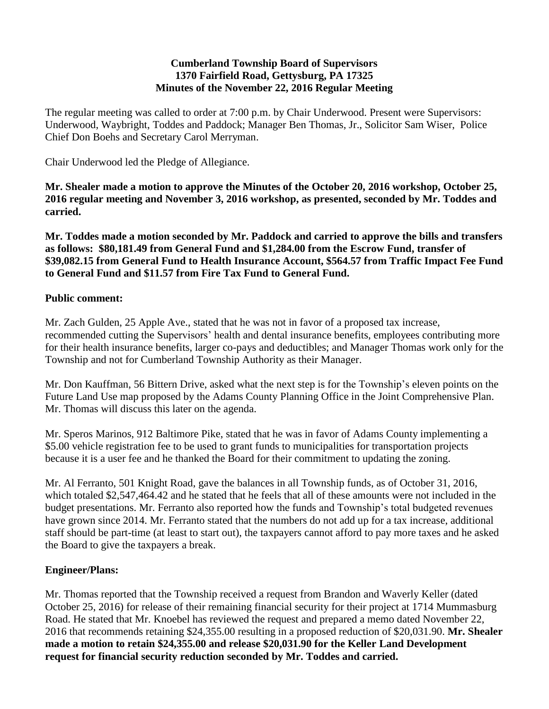#### **Cumberland Township Board of Supervisors 1370 Fairfield Road, Gettysburg, PA 17325 Minutes of the November 22, 2016 Regular Meeting**

The regular meeting was called to order at 7:00 p.m. by Chair Underwood. Present were Supervisors: Underwood, Waybright, Toddes and Paddock; Manager Ben Thomas, Jr., Solicitor Sam Wiser, Police Chief Don Boehs and Secretary Carol Merryman.

Chair Underwood led the Pledge of Allegiance.

**Mr. Shealer made a motion to approve the Minutes of the October 20, 2016 workshop, October 25, 2016 regular meeting and November 3, 2016 workshop, as presented, seconded by Mr. Toddes and carried.**

**Mr. Toddes made a motion seconded by Mr. Paddock and carried to approve the bills and transfers as follows: \$80,181.49 from General Fund and \$1,284.00 from the Escrow Fund, transfer of \$39,082.15 from General Fund to Health Insurance Account, \$564.57 from Traffic Impact Fee Fund to General Fund and \$11.57 from Fire Tax Fund to General Fund.**

# **Public comment:**

Mr. Zach Gulden, 25 Apple Ave., stated that he was not in favor of a proposed tax increase, recommended cutting the Supervisors' health and dental insurance benefits, employees contributing more for their health insurance benefits, larger co-pays and deductibles; and Manager Thomas work only for the Township and not for Cumberland Township Authority as their Manager.

Mr. Don Kauffman, 56 Bittern Drive, asked what the next step is for the Township's eleven points on the Future Land Use map proposed by the Adams County Planning Office in the Joint Comprehensive Plan. Mr. Thomas will discuss this later on the agenda.

Mr. Speros Marinos, 912 Baltimore Pike, stated that he was in favor of Adams County implementing a \$5.00 vehicle registration fee to be used to grant funds to municipalities for transportation projects because it is a user fee and he thanked the Board for their commitment to updating the zoning.

Mr. Al Ferranto, 501 Knight Road, gave the balances in all Township funds, as of October 31, 2016, which totaled \$2,547,464.42 and he stated that he feels that all of these amounts were not included in the budget presentations. Mr. Ferranto also reported how the funds and Township's total budgeted revenues have grown since 2014. Mr. Ferranto stated that the numbers do not add up for a tax increase, additional staff should be part-time (at least to start out), the taxpayers cannot afford to pay more taxes and he asked the Board to give the taxpayers a break.

# **Engineer/Plans:**

Mr. Thomas reported that the Township received a request from Brandon and Waverly Keller (dated October 25, 2016) for release of their remaining financial security for their project at 1714 Mummasburg Road. He stated that Mr. Knoebel has reviewed the request and prepared a memo dated November 22, 2016 that recommends retaining \$24,355.00 resulting in a proposed reduction of \$20,031.90. **Mr. Shealer made a motion to retain \$24,355.00 and release \$20,031.90 for the Keller Land Development request for financial security reduction seconded by Mr. Toddes and carried.**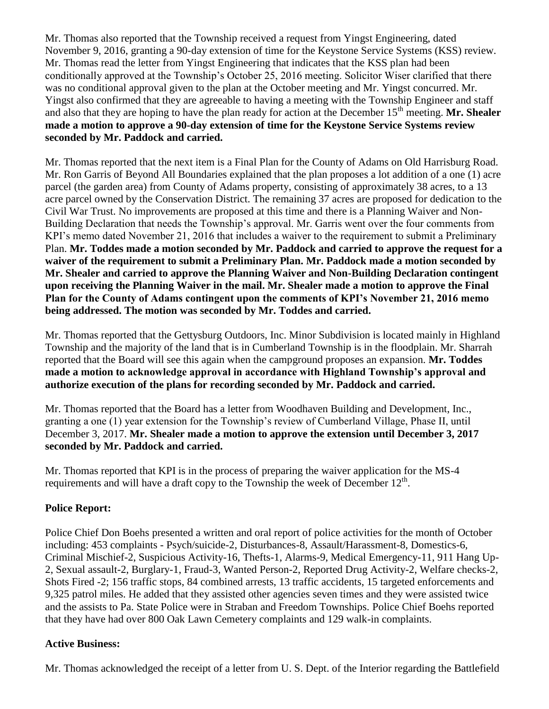Mr. Thomas also reported that the Township received a request from Yingst Engineering, dated November 9, 2016, granting a 90-day extension of time for the Keystone Service Systems (KSS) review. Mr. Thomas read the letter from Yingst Engineering that indicates that the KSS plan had been conditionally approved at the Township's October 25, 2016 meeting. Solicitor Wiser clarified that there was no conditional approval given to the plan at the October meeting and Mr. Yingst concurred. Mr. Yingst also confirmed that they are agreeable to having a meeting with the Township Engineer and staff and also that they are hoping to have the plan ready for action at the December 15<sup>th</sup> meeting. **Mr. Shealer made a motion to approve a 90-day extension of time for the Keystone Service Systems review seconded by Mr. Paddock and carried.**

Mr. Thomas reported that the next item is a Final Plan for the County of Adams on Old Harrisburg Road. Mr. Ron Garris of Beyond All Boundaries explained that the plan proposes a lot addition of a one (1) acre parcel (the garden area) from County of Adams property, consisting of approximately 38 acres, to a 13 acre parcel owned by the Conservation District. The remaining 37 acres are proposed for dedication to the Civil War Trust. No improvements are proposed at this time and there is a Planning Waiver and Non-Building Declaration that needs the Township's approval. Mr. Garris went over the four comments from KPI's memo dated November 21, 2016 that includes a waiver to the requirement to submit a Preliminary Plan. **Mr. Toddes made a motion seconded by Mr. Paddock and carried to approve the request for a waiver of the requirement to submit a Preliminary Plan. Mr. Paddock made a motion seconded by Mr. Shealer and carried to approve the Planning Waiver and Non-Building Declaration contingent upon receiving the Planning Waiver in the mail. Mr. Shealer made a motion to approve the Final Plan for the County of Adams contingent upon the comments of KPI's November 21, 2016 memo being addressed. The motion was seconded by Mr. Toddes and carried.**

Mr. Thomas reported that the Gettysburg Outdoors, Inc. Minor Subdivision is located mainly in Highland Township and the majority of the land that is in Cumberland Township is in the floodplain. Mr. Sharrah reported that the Board will see this again when the campground proposes an expansion. **Mr. Toddes made a motion to acknowledge approval in accordance with Highland Township's approval and authorize execution of the plans for recording seconded by Mr. Paddock and carried.**

Mr. Thomas reported that the Board has a letter from Woodhaven Building and Development, Inc., granting a one (1) year extension for the Township's review of Cumberland Village, Phase II, until December 3, 2017. **Mr. Shealer made a motion to approve the extension until December 3, 2017 seconded by Mr. Paddock and carried.**

Mr. Thomas reported that KPI is in the process of preparing the waiver application for the MS-4 requirements and will have a draft copy to the Township the week of December  $12<sup>th</sup>$ .

# **Police Report:**

Police Chief Don Boehs presented a written and oral report of police activities for the month of October including: 453 complaints - Psych/suicide-2, Disturbances-8, Assault/Harassment-8, Domestics-6, Criminal Mischief-2, Suspicious Activity-16, Thefts-1, Alarms-9, Medical Emergency-11, 911 Hang Up-2, Sexual assault-2, Burglary-1, Fraud-3, Wanted Person-2, Reported Drug Activity-2, Welfare checks-2, Shots Fired -2; 156 traffic stops, 84 combined arrests, 13 traffic accidents, 15 targeted enforcements and 9,325 patrol miles. He added that they assisted other agencies seven times and they were assisted twice and the assists to Pa. State Police were in Straban and Freedom Townships. Police Chief Boehs reported that they have had over 800 Oak Lawn Cemetery complaints and 129 walk-in complaints.

# **Active Business:**

Mr. Thomas acknowledged the receipt of a letter from U. S. Dept. of the Interior regarding the Battlefield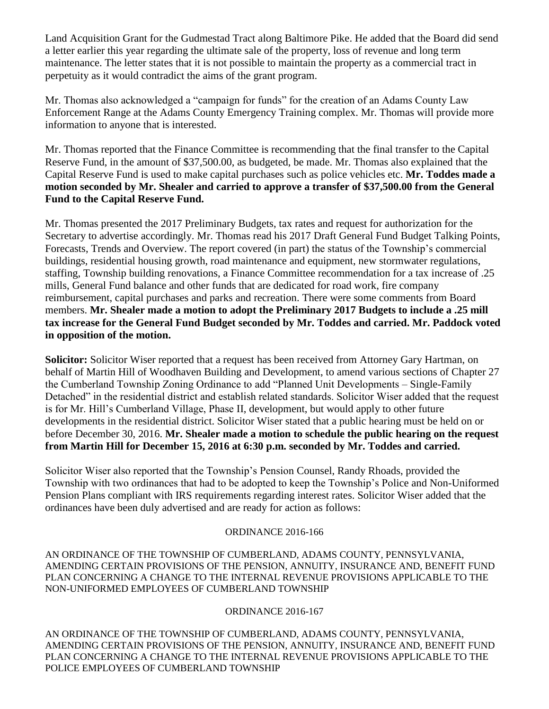Land Acquisition Grant for the Gudmestad Tract along Baltimore Pike. He added that the Board did send a letter earlier this year regarding the ultimate sale of the property, loss of revenue and long term maintenance. The letter states that it is not possible to maintain the property as a commercial tract in perpetuity as it would contradict the aims of the grant program.

Mr. Thomas also acknowledged a "campaign for funds" for the creation of an Adams County Law Enforcement Range at the Adams County Emergency Training complex. Mr. Thomas will provide more information to anyone that is interested.

Mr. Thomas reported that the Finance Committee is recommending that the final transfer to the Capital Reserve Fund, in the amount of \$37,500.00, as budgeted, be made. Mr. Thomas also explained that the Capital Reserve Fund is used to make capital purchases such as police vehicles etc. **Mr. Toddes made a motion seconded by Mr. Shealer and carried to approve a transfer of \$37,500.00 from the General Fund to the Capital Reserve Fund.**

Mr. Thomas presented the 2017 Preliminary Budgets, tax rates and request for authorization for the Secretary to advertise accordingly. Mr. Thomas read his 2017 Draft General Fund Budget Talking Points, Forecasts, Trends and Overview. The report covered (in part) the status of the Township's commercial buildings, residential housing growth, road maintenance and equipment, new stormwater regulations, staffing, Township building renovations, a Finance Committee recommendation for a tax increase of .25 mills, General Fund balance and other funds that are dedicated for road work, fire company reimbursement, capital purchases and parks and recreation. There were some comments from Board members. **Mr. Shealer made a motion to adopt the Preliminary 2017 Budgets to include a .25 mill tax increase for the General Fund Budget seconded by Mr. Toddes and carried. Mr. Paddock voted in opposition of the motion.**

**Solicitor:** Solicitor Wiser reported that a request has been received from Attorney Gary Hartman, on behalf of Martin Hill of Woodhaven Building and Development, to amend various sections of Chapter 27 the Cumberland Township Zoning Ordinance to add "Planned Unit Developments – Single-Family Detached" in the residential district and establish related standards. Solicitor Wiser added that the request is for Mr. Hill's Cumberland Village, Phase II, development, but would apply to other future developments in the residential district. Solicitor Wiser stated that a public hearing must be held on or before December 30, 2016. **Mr. Shealer made a motion to schedule the public hearing on the request from Martin Hill for December 15, 2016 at 6:30 p.m. seconded by Mr. Toddes and carried.**

Solicitor Wiser also reported that the Township's Pension Counsel, Randy Rhoads, provided the Township with two ordinances that had to be adopted to keep the Township's Police and Non-Uniformed Pension Plans compliant with IRS requirements regarding interest rates. Solicitor Wiser added that the ordinances have been duly advertised and are ready for action as follows:

# ORDINANCE 2016-166

AN ORDINANCE OF THE TOWNSHIP OF CUMBERLAND, ADAMS COUNTY, PENNSYLVANIA, AMENDING CERTAIN PROVISIONS OF THE PENSION, ANNUITY, INSURANCE AND, BENEFIT FUND PLAN CONCERNING A CHANGE TO THE INTERNAL REVENUE PROVISIONS APPLICABLE TO THE NON-UNIFORMED EMPLOYEES OF CUMBERLAND TOWNSHIP

# ORDINANCE 2016-167

AN ORDINANCE OF THE TOWNSHIP OF CUMBERLAND, ADAMS COUNTY, PENNSYLVANIA, AMENDING CERTAIN PROVISIONS OF THE PENSION, ANNUITY, INSURANCE AND, BENEFIT FUND PLAN CONCERNING A CHANGE TO THE INTERNAL REVENUE PROVISIONS APPLICABLE TO THE POLICE EMPLOYEES OF CUMBERLAND TOWNSHIP